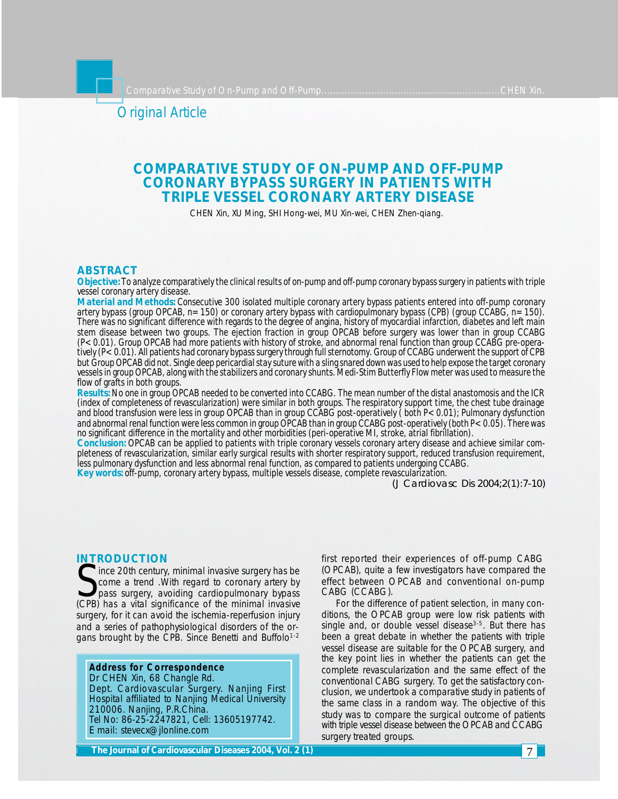# Original Article

# **COMPARATIVE STUDY OF ON-PUMP AND OFF-PUMP CORONARY BYPASS SURGERY IN PATIENTS WITH TRIPLE VESSEL CORONARY ARTERY DISEASE**

CHEN Xin, XU Ming, SHI Hong-wei, MU Xin-wei, CHEN Zhen-qiang.

# **ABSTRACT**

*Objective: To analyze comparatively the clinical results of on-pump and off-pump coronary bypass surgery in patients with triple vessel coronary artery disease.*

*Material and Methods: Consecutive 300 isolated multiple coronary artery bypass patients entered into off-pump coronary artery bypass (group OPCAB, n=150) or coronary artery bypass with cardiopulmonary bypass (CPB) (group CCABG, n=150). There was no significant difference with regards to the degree of angina, history of myocardial infarction, diabetes and left main stem disease between two groups. The ejection fraction in group OPCAB before surgery was lower than in group CCABG (P<0.01). Group OPCAB had more patients with history of stroke, and abnormal renal function than group CCABG pre-operatively (P<0.01). All patients had coronary bypass surgery through full sternotomy. Group of CCABG underwent the support of CPB but Group OPCAB did not. Single deep pericardial stay suture with a sling snared down was used to help expose the target coronary vessels in group OPCAB, along with the stabilizers and coronary shunts. Medi-Stim Butterfly Flow meter was used to measure the flow of grafts in both groups.*

*Results: No one in group OPCAB needed to be converted into CCABG. The mean number of the distal anastomosis and the ICR (index of completeness of revascularization) were similar in both groups. The respiratory support time, the chest tube drainage and blood transfusion were less in group OPCAB than in group CCABG post-operatively ( both P<0.01); Pulmonary dysfunction and abnormal renal function were less common in group OPCAB than in group CCABG post-operatively (both P<0.05). There was no significant difference in the mortality and other morbidities (peri-operative MI, stroke, atrial fibrillation).*

*Conclusion: OPCAB can be applied to patients with triple coronary vessels coronary artery disease and achieve similar completeness of revascularization, similar early surgical results with shorter respiratory support, reduced transfusion requirement, less pulmonary dysfunction and less abnormal renal function, as compared to patients undergoing CCABG.*

*Key words: off-pump, coronary artery bypass, multiple vessels disease, complete revascularization.*

*(J Cardiovasc Dis 2004;2(1):7-10)*

# **INTRODUCTION**

Since 20th century, minimal invasive surgery has be<br>
Some a trend . With regard to coronary artery by<br>
(CPB) has a vital significance of the minimal invasive ince 20th century, minimal invasive surgery has be come a trend .With regard to coronary artery by pass surgery, avoiding cardiopulmonary bypass surgery, for it can avoid the ischemia-reperfusion injury and a series of pathophysiological disorders of the organs brought by the CPB. Since Benetti and Buffolo<sup>1-2</sup>

**Address for Correspondence** Dr CHEN Xin, 68 Changle Rd. Dept. Cardiovascular Surgery. Nanjing First Hospital affiliated to Nanjing Medical University 210006. Nanjing, P.R.China. Tel No: 86-25-2247821, Cell: 13605197742. E mail: stevecx@jlonline.com

first reported their experiences of off-pump CABG (OPCAB), quite a few investigators have compared the effect between OPCAB and conventional on-pump CABG (CCABG).

For the difference of patient selection, in many conditions, the OPCAB group were low risk patients with single and, or double vessel disease<sup>3-5</sup>. But there has been a great debate in whether the patients with triple vessel disease are suitable for the OPCAB surgery, and the key point lies in whether the patients can get the complete revascularization and the same effect of the conventional CABG surgery. To get the satisfactory conclusion, we undertook a comparative study in patients of the same class in a random way. The objective of this study was to compare the surgical outcome of patients with triple vessel disease between the OPCAB and CCABG surgery treated groups.

**The Journal of Cardiovascular Diseases 2003, Vol. 1 (2) The Journal of Cardiovascular 2003, Vol. 1 (2) 2004, 2 (1)** 7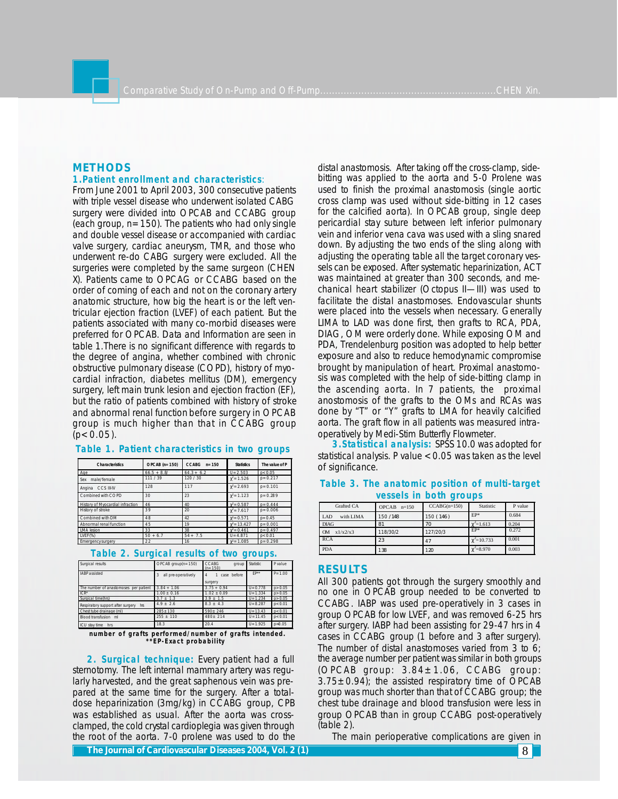# **METHODS**

# **1.Patient enrollment and characteristics**:

From June 2001 to April 2003, 300 consecutive patients with triple vessel disease who underwent isolated CABG surgery were divided into OPCAB and CCABG group (each group,  $n=150$ ). The patients who had only single and double vessel disease or accompanied with cardiac valve surgery, cardiac aneurysm, TMR, and those who underwent re-do CABG surgery were excluded. All the surgeries were completed by the same surgeon (CHEN X). Patients came to OPCAG or CCABG based on the order of coming of each and not on the coronary artery anatomic structure, how big the heart is or the left ventricular ejection fraction (LVEF) of each patient. But the patients associated with many co-morbid diseases were preferred for OPCAB. Data and Information are seen in table 1.There is no significant difference with regards to the degree of angina, whether combined with chronic obstructive pulmonary disease (COPD), history of myocardial infraction, diabetes mellitus (DM), emergency surgery, left main trunk lesion and ejection fraction (EF), but the ratio of patients combined with history of stroke and abnormal renal function before surgery in OPCAB group is much higher than that in CCABG group  $(p < 0.05)$ .

| <b>Characteristics</b>           | $OPCAB(n=150)$ | $CCARG$ n=150 | <b>Statistics</b>  | The value of P |
|----------------------------------|----------------|---------------|--------------------|----------------|
| Age                              | $66.5 + 8.8'$  | $64.3 + 6.2$  | $U = 2.503$        | p < 0.05       |
| male/female<br>Sex               | 111 / 39       | 120/30        | $\chi^2$ = 1.526   | $p = 0.217$    |
| Angina CCS III-IV                | 128            | 117           | $\gamma^2 = 2.693$ | $p = 0.101$    |
| Combined with COPD               | 30             | 23            | $y^2 = 1.123$      | $p = 0.289$    |
| History of Myocardial infraction | 46             | 40            | $\gamma^2 = 0.587$ | $p = 0.444$    |
| History of stroke                | 39             | 20            | $y^2 = 7.617$      | $p = 0.006$    |
| Combined with DM                 | 48             | 42            | $y^2 = 0.571$      | $p = 0.45$     |
| Abnormal renal function          | 45             | 19            | $y^2 = 13.427$     | $p = 0.001$    |
| <b>IMA</b> lesion                | 33             | 38            | $y^2 = 0.461$      | $p = 0.497$    |
| LVEF(%)                          | $50 + 6.7$     | $54 + 7.5$    | $U = 4.871$        | p < 0.01       |
| Emergency surgery                | 22             | 16            | $y^2 = 1.085$      | $p = 0.298$    |

# **Table 1. Patient characteristics in two groups**

#### **Table 2. Surgical results of two groups.**

| Surgical results                         | $OPCAB$ group( $n = 150$ ) | <b>CCABG</b><br>group<br>$(n=150)$ | Statistic   | Pvalue     |
|------------------------------------------|----------------------------|------------------------------------|-------------|------------|
| IABP assisted                            | all pre-operatively        | case before<br>$\overline{A}$      | FP**        | $P = 1.00$ |
|                                          |                            | surgery                            |             |            |
| The number of anastomoses per patient    | $3.84 + 1.06$              | $3.75 + 0.94$                      | $U = 0.778$ | p > 0.05   |
| $ICR^*$                                  | $1.00 \pm 0.16$            | $1.02 \pm 0.09$                    | $U = 1.334$ | p > 0.05   |
| Surgical time(hrs)                       | $3.7 \pm 1.3$              | $3.9 \pm 1.5$                      | $U = 1.234$ | p > 0.05   |
| Respiratory support after surgery<br>hrs | $49 + 26$                  | $8.3 \pm 4.3$                      | $U = 8.287$ | p < 0.01   |
| Chest tube drainage (ml)                 | $285 \pm 130$              | $590 \pm 246$                      | $U = 13.43$ | p < 0.01   |
| Blood transfusion ml                     | $255 \pm 110$              | $480 + 214$                        | $U = 11.45$ | p < 0.01   |
| ICU stav time<br>hrs                     | 18.3                       | 20.4                               | $U = 1.925$ | $p = 0.05$ |

 **number of grafts performed/number of grafts intended. \*\*EP-Exact probability**

**2. Surgical technique:** Every patient had a full sternotomy. The left internal mammary artery was regularly harvested, and the great saphenous vein was prepared at the same time for the surgery. After a totaldose heparinization (3mg/kg) in CCABG group, CPB was established as usual. After the aorta was crossclamped, the cold crystal cardioplegia was given through the root of the aorta. 7-0 prolene was used to do the

**The Journal of Cardiovascular Diseases 2004, Vol. 2 (1) 2006 12:2 (2)** 8 **2004, 2 (2)** 8 **2004, 2 (2)** 8 **2004, 2 (2)** 8 **2004, 2 (2)** 8 **2004, 2 (2)** 8 **2004, 2 (2)** 8 **2004, 2 (2)** 8 **2004, 2 (2)** 8 **2004, 2 (2)** 8 **2** 

distal anastomosis. After taking off the cross-clamp, sidebitting was applied to the aorta and 5-0 Prolene was used to finish the proximal anastomosis (single aortic cross clamp was used without side-bitting in 12 cases for the calcified aorta). In OPCAB group, single deep pericardial stay suture between left inferior pulmonary vein and inferior vena cava was used with a sling snared down. By adjusting the two ends of the sling along with adjusting the operating table all the target coronary vessels can be exposed. After systematic heparinization, ACT was maintained at greater than 300 seconds, and mechanical heart stabilizer (Octopus II—III) was used to facilitate the distal anastomoses. Endovascular shunts were placed into the vessels when necessary. Generally LIMA to LAD was done first, then grafts to RCA, PDA, DIAG, OM were orderly done. While exposing OM and PDA, Trendelenburg position was adopted to help better exposure and also to reduce hemodynamic compromise brought by manipulation of heart. Proximal anastomosis was completed with the help of side-bitting clamp in the ascending aorta. In 7 patients, the proximal anostomosis of the grafts to the OMs and RCAs was done by "T" or "Y" grafts to LMA for heavily calcified aorta. The graft flow in all patients was measured intraoperatively by Medi-Stim Butterfly Flowmeter.

**3.Statistical analysis:** SPSS 10.0 was adopted for statistical analysis. P value <0.05 was taken as the level of significance.

| Grafted CA            | <b>OPCAB</b><br>$n=150$ | $CCABG(n=150)$ | Statistic          | P value |
|-----------------------|-------------------------|----------------|--------------------|---------|
| LAD<br>with LIMA      | 150 / 148               | 150 (146)      | EP*                | 0.684   |
| <b>DIAG</b>           | 81                      | 70             | $\gamma^2 = 1.613$ | 0.204   |
| x1/x2/x3<br><b>OM</b> | 118/30/2                | 127/20/3       | EP*                | 0.272   |
| <b>RCA</b>            | 23                      | 47             | $\chi^2$ =10.733   | 0.001   |
| <b>PDA</b>            | 138                     | 120            | $\chi^2 = 8.970$   | 0.003   |

# **Table 3. The anatomic position of multi-target vessels in both groups**

### **RESULTS**

All 300 patients got through the surgery smoothly and no one in OPCAB group needed to be converted to CCABG. IABP was used pre-operatively in 3 cases in group OPCAB for low LVEF, and was removed 6-25 hrs after surgery. IABP had been assisting for 29-47 hrs in 4 cases in CCABG group (1 before and 3 after surgery). The number of distal anastomoses varied from 3 to 6; the average number per patient was similar in both groups (OPCAB group:  $3.84 \pm 1.06$ , CCABG group:  $3.75\pm0.94$ ; the assisted respiratory time of OPCAB group was much shorter than that of CCABG group; the chest tube drainage and blood transfusion were less in group OPCAB than in group CCABG post-operatively (table 2).

The main perioperative complications are given in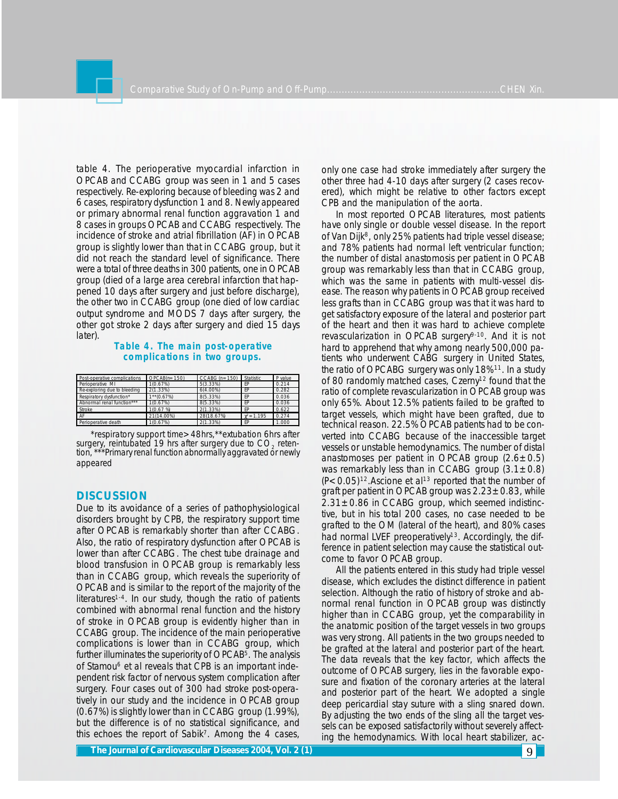table 4. The perioperative myocardial infarction in OPCAB and CCABG group was seen in 1 and 5 cases respectively. Re-exploring because of bleeding was 2 and 6 cases, respiratory dysfunction 1 and 8. Newly appeared or primary abnormal renal function aggravation 1 and 8 cases in groups OPCAB and CCABG respectively. The incidence of stroke and atrial fibrillation (AF) in OPCAB group is slightly lower than that in CCABG group, but it did not reach the standard level of significance. There were a total of three deaths in 300 patients, one in OPCAB group (died of a large area cerebral infarction that happened 10 days after surgery and just before discharge), the other two in CCABG group (one died of low cardiac output syndrome and MODS 7 days after surgery, the other got stroke 2 days after surgery and died 15 days later).

# **Table 4. The main post-operative complications in two groups.**

| Post-operative complications | $OPCAB(n=150)$ | $CCABG (n=150)$ | Statistic          | P value |
|------------------------------|----------------|-----------------|--------------------|---------|
| Perioperative MI             | 1(0.67%)       | 5(3.33%)        | EP                 | 0.214   |
| Re-exploring due to bleeding | 2(1.33%)       | $6(4.00\%)$     | EP                 | 0.282   |
| Respiratory dysfunction*     | $1**$ (0.67%)  | 8(5.33%)        | EP                 | 0.036   |
| Abnormal renal function***   | 1(0.67%)       | 8(5.33%)        | EP                 | 0.036   |
| Stroke                       | 1(0.67%)       | 2(1.33%)        | FP                 | 0.622   |
| AF                           | 21(14.00%)     | 28(18.67%)      | $\gamma^2 = 1.195$ | 0.274   |
| Perioperative death          | 1(0.67%)       | 2(1.33%)        | FP                 | 1.000   |

\*respiratory support time>48hrs,\*\*extubation 6hrs after surgery, reintubated 19 hrs after surgery due to  $CO<sub>2</sub>$  retention, \*\*\*Primary renal function abnormally aggravated or newly appeared

# **DISCUSSION**

Due to its avoidance of a series of pathophysiological disorders brought by CPB, the respiratory support time after OPCAB is remarkably shorter than after CCABG. Also, the ratio of respiratory dysfunction after OPCAB is lower than after CCABG. The chest tube drainage and blood transfusion in OPCAB group is remarkably less than in CCABG group, which reveals the superiority of OPCAB and is similar to the report of the majority of the literatures<sup>1-4</sup>. In our study, though the ratio of patients combined with abnormal renal function and the history of stroke in OPCAB group is evidently higher than in CCABG group. The incidence of the main perioperative complications is lower than in CCABG group, which further illuminates the superiority of OPCAB<sup>5</sup>. The analysis of Stamou<sup>6</sup> et al reveals that CPB is an important independent risk factor of nervous system complication after surgery. Four cases out of 300 had stroke post-operatively in our study and the incidence in OPCAB group (0.67%) is slightly lower than in CCABG group (1.99%), but the difference is of no statistical significance, and this echoes the report of Sabik<sup>7</sup> . Among the 4 cases,

only one case had stroke immediately after surgery the other three had 4-10 days after surgery (2 cases recovered), which might be relative to other factors except CPB and the manipulation of the aorta.

In most reported OPCAB literatures, most patients have only single or double vessel disease. In the report of Van Dijk<sup>8</sup>, only 25% patients had triple vessel disease; and 78% patients had normal left ventricular function; the number of distal anastomosis per patient in OPCAB group was remarkably less than that in CCABG group, which was the same in patients with multi-vessel disease. The reason why patients in OPCAB group received less grafts than in CCABG group was that it was hard to get satisfactory exposure of the lateral and posterior part of the heart and then it was hard to achieve complete revascularization in OPCAB surgery<sup>9-10</sup>. And it is not hard to apprehend that why among nearly 500,000 patients who underwent CABG surgery in United States, the ratio of OPCABG surgery was only 18%11. In a study of 80 randomly matched cases, Czerny12 found that the ratio of complete revascularization in OPCAB group was only 65%. About 12.5% patients failed to be grafted to target vessels, which might have been grafted, due to technical reason. 22.5% OPCAB patients had to be converted into CCABG because of the inaccessible target vessels or unstable hemodynamics. The number of distal anastomoses per patient in OPCAB group  $(2.6 \pm 0.5)$ was remarkably less than in CCABG group  $(3.1 \pm 0.8)$  $(P<0.05)$ <sup>12</sup>. Ascione et al<sup>13</sup> reported that the number of graft per patient in OPCAB group was  $2.23\pm0.83$ , while  $2.31\pm0.86$  in CCABG group, which seemed indistinctive, but in his total 200 cases, no case needed to be grafted to the OM (lateral of the heart), and 80% cases had normal LVEF preoperatively<sup>13</sup>. Accordingly, the difference in patient selection may cause the statistical outcome to favor OPCAB group.

All the patients entered in this study had triple vessel disease, which excludes the distinct difference in patient selection. Although the ratio of history of stroke and abnormal renal function in OPCAB group was distinctly higher than in CCABG group, yet the comparability in the anatomic position of the target vessels in two groups was very strong. All patients in the two groups needed to be grafted at the lateral and posterior part of the heart. The data reveals that the key factor, which affects the outcome of OPCAB surgery, lies in the favorable exposure and fixation of the coronary arteries at the lateral and posterior part of the heart. We adopted a single deep pericardial stay suture with a sling snared down. By adjusting the two ends of the sling all the target vessels can be exposed satisfactorily without severely affecting the hemodynamics. With local heart stabilizer, ac-